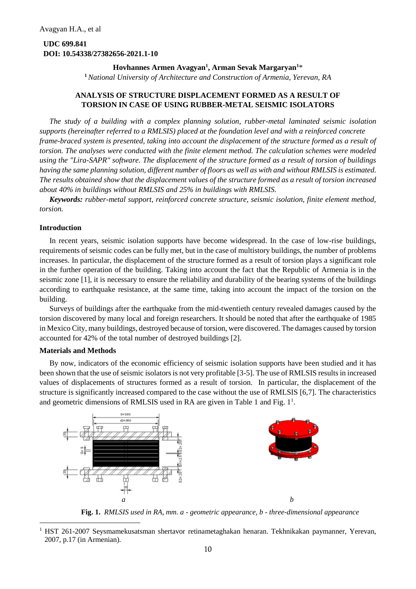# **UDC 699.841 DOI: 10.54338/27382656-2021.1-10**

# **Hovhannes Armen Avagyan<sup>1</sup> , Arman Sevak Margaryan<sup>1</sup>**\*

**<sup>1</sup>***National University of Architecture and Construction of Armenia, Yerevan, RA*

# **ANALYSIS OF STRUCTURE DISPLACEMENT FORMED AS A RESULT OF TORSION IN CASE OF USING RUBBER-METAL SEISMIC ISOLATORS**

*The study of a building with a complex planning solution, rubber-metal laminated seismic isolation supports (hereinafter referred to a RMLSIS) placed at the foundation level and with a reinforced concrete frame-braced system is presented, taking into account the displacement of the structure formed as a result of torsion. The analyses were conducted with the finite element method. The calculation schemes were modeled using the "Lira-SAPR" software. The displacement of the structure formed as a result of torsion of buildings having the same planning solution, different number of floors as well as with and without RMLSIS is estimated. The results obtained show that the displacement values of the structure formed as a result of torsion increased about 40% in buildings without RMLSIS and 25% in buildings with RMLSIS.*

*Keywords: rubber-metal support, reinforced concrete structure, seismic isolation, finite element method, torsion.*

# **Introduction**

In recent years, seismic isolation supports have become widespread. In the case of low-rise buildings, requirements of seismic codes can be fully met, but in the case of multistory buildings, the number of problems increases. In particular, the displacement of the structure formed as a result of torsion plays a significant role in the further operation of the building. Taking into account the fact that the Republic of Armenia is in the seismic zone [1], it is necessary to ensure the reliability and durability of the bearing systems of the buildings according to earthquake resistance, at the same time, taking into account the impact of the torsion on the building.

Surveys of buildings after the earthquake from the mid-twentieth century revealed damages caused by the torsion discovered by many local and foreign researchers. It should be noted that after the earthquake of 1985 in Mexico City, many buildings, destroyed because of torsion, were discovered. The damages caused by torsion accounted for 42% of the total number of destroyed buildings [2].

#### **Materials and Methods**

By now, indicators of the economic efficiency of seismic isolation supports have been studied and it has been shown that the use of seismic isolators is not very profitable [3-5]. The use of RMLSIS results in increased values of displacements of structures formed as a result of torsion. In particular, the displacement of the structure is significantly increased compared to the case without the use of RMLSIS [6,7]. The characteristics and geometric dimensions of RMLSIS used in RA are given in Table 1 and Fig.  $1<sup>1</sup>$ .



**Fig. 1.** *RMLSIS used in RA, mm. a - geometric appearance, b - three-dimensional appearance*

<sup>1</sup> HST 261-2007 Seysmamekusatsman shertavor retinametaghakan henaran. Tekhnikakan paymanner, Yerevan, 2007, p.17 (in Armenian).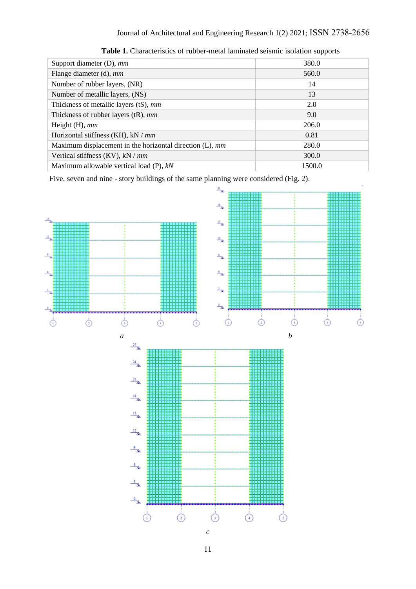| Support diameter (D), mm                                    | 380.0  |
|-------------------------------------------------------------|--------|
| Flange diameter (d), mm                                     | 560.0  |
| Number of rubber layers, (NR)                               | 14     |
| Number of metallic layers, (NS)                             | 13     |
| Thickness of metallic layers (tS), mm                       | 2.0    |
| Thickness of rubber layers $(tR)$ , mm                      | 9.0    |
| Height $(H)$ , mm                                           | 206.0  |
| Horizontal stiffness (KH), $kN/mm$                          | 0.81   |
| Maximum displacement in the horizontal direction $(L)$ , mm | 280.0  |
| Vertical stiffness $(KV)$ , kN / mm                         | 300.0  |
| Maximum allowable vertical load $(P)$ , $kN$                | 1500.0 |

Table 1. Characteristics of rubber-metal laminated seismic isolation supports

Five, seven and nine - story buildings of the same planning were considered (Fig. 2).

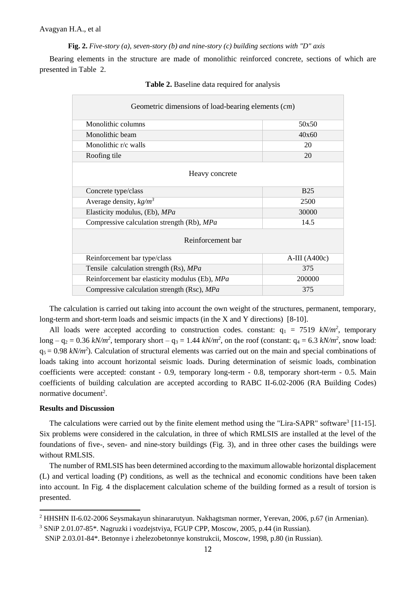**Fig. 2.** *Five-story (a), seven-story (b) and nine-story (c) building sections with "D" axis*

Bearing elements in the structure are made of monolithic reinforced concrete, sections of which are presented in Table 2.

| Geometric dimensions of load-bearing elements (cm) |                |  |  |  |
|----------------------------------------------------|----------------|--|--|--|
| Monolithic columns                                 | 50x50          |  |  |  |
| Monolithic beam                                    | 40x60          |  |  |  |
| Monolithic r/c walls<br>20                         |                |  |  |  |
| Roofing tile                                       | 20             |  |  |  |
| Heavy concrete                                     |                |  |  |  |
| Concrete type/class                                | <b>B25</b>     |  |  |  |
| Average density, $kg/m^3$                          | 2500           |  |  |  |
| Elasticity modulus, (Eb), MPa                      | 30000          |  |  |  |
| Compressive calculation strength (Rb), MPa         | 14.5           |  |  |  |
| Reinforcement bar                                  |                |  |  |  |
| Reinforcement bar type/class                       | $A-III(A400c)$ |  |  |  |
| Tensile calculation strength (Rs), MPa             | 375            |  |  |  |
| Reinforcement bar elasticity modulus (Eb), MPa     | 200000         |  |  |  |
| Compressive calculation strength (Rsc), MPa        | 375            |  |  |  |

|  |  |  |  | <b>Table 2.</b> Baseline data required for analysis |  |  |  |
|--|--|--|--|-----------------------------------------------------|--|--|--|
|--|--|--|--|-----------------------------------------------------|--|--|--|

The calculation is carried out taking into account the own weight of the structures, permanent, temporary, long-term and short-term loads and seismic impacts (in the X and Y directions) [8-10].

All loads were accepted according to construction codes. constant:  $q_1 = 7519$  kN/m<sup>2</sup>, temporary long –  $q_2 = 0.36$  kN/m<sup>2</sup>, temporary short –  $q_3 = 1.44$  kN/m<sup>2</sup>, on the roof (constant:  $q_4 = 6.3$  kN/m<sup>2</sup>, snow load:  $q_5 = 0.98 \ kN/m^2$ ). Calculation of structural elements was carried out on the main and special combinations of loads taking into account horizontal seismic loads. During determination of seismic loads, combination coefficients were accepted: constant - 0.9, temporary long-term - 0.8, temporary short-term - 0.5. Main coefficients of building calculation are accepted according to RABC II-6.02-2006 (RA Building Codes) normative document<sup>2</sup>.

#### **Results and Discussion**

The calculations were carried out by the finite element method using the "Lira-SAPR" software<sup>3</sup> [11-15]. Six problems were considered in the calculation, in three of which RMLSIS are installed at the level of the foundations of five-, seven- and nine-story buildings (Fig. 3), and in three other cases the buildings were without RMLSIS.

The number of RMLSIS has been determined according to the maximum allowable horizontal displacement (L) and vertical loading (P) conditions, as well as the technical and economic conditions have been taken into account. In Fig. 4 the displacement calculation scheme of the building formed as a result of torsion is presented.

<sup>3</sup> SNiP 2.01.07-85\*. Nagruzki i vozdejstviya, FGUP CPP, Moscow, 2005, p.44 (in Russian).

<sup>2</sup> HHSHN II-6.02-2006 Seysmakayun shinararutyun. Nakhagtsman normer, Yerevan, 2006, p.67 (in Armenian).

SNiP 2.03.01-84\*. Betonnye i zhelezobetonnye konstrukcii, Moscow, 1998, p.80 (in Russian).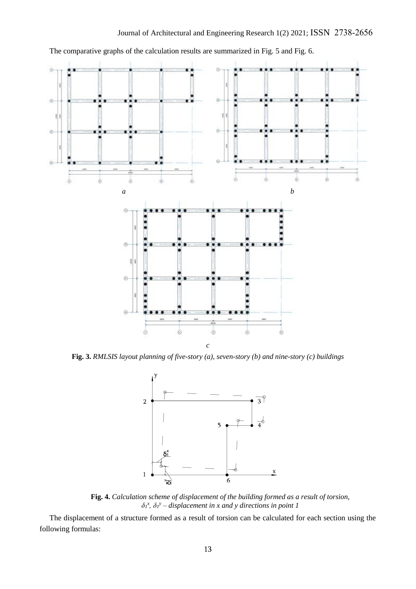

The comparative graphs of the calculation results are summarized in Fig. 5 and Fig. 6.

**Fig. 3.** *RMLSIS layout planning of five-story (a), seven-story (b) and nine-story (c) buildings*



**Fig. 4.** *Calculation scheme of displacement of the building formed as a result of torsion,*  $\delta$ <sup>*x*</sup>,  $\delta$ <sub>*i*</sub><sup>*y*</sup> – *displacement in x and y directions in point 1* 

The displacement of a structure formed as a result of torsion can be calculated for each section using the following formulas: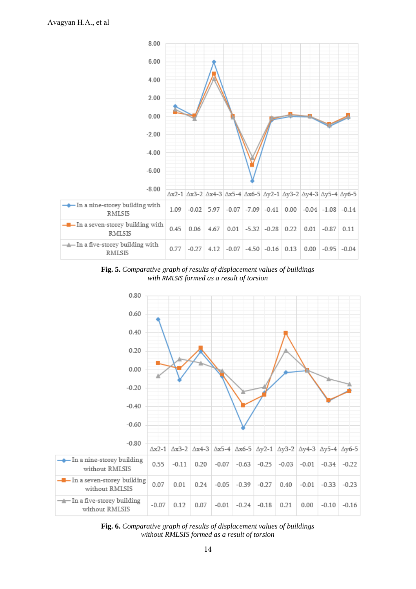

**Fig. 5.** *Comparative graph of results of displacement values of buildings with RMLSIS formed as a result of torsion*



**Fig. 6.** *Comparative graph of results of displacement values of buildings without RMLSIS formed as a result of torsion*